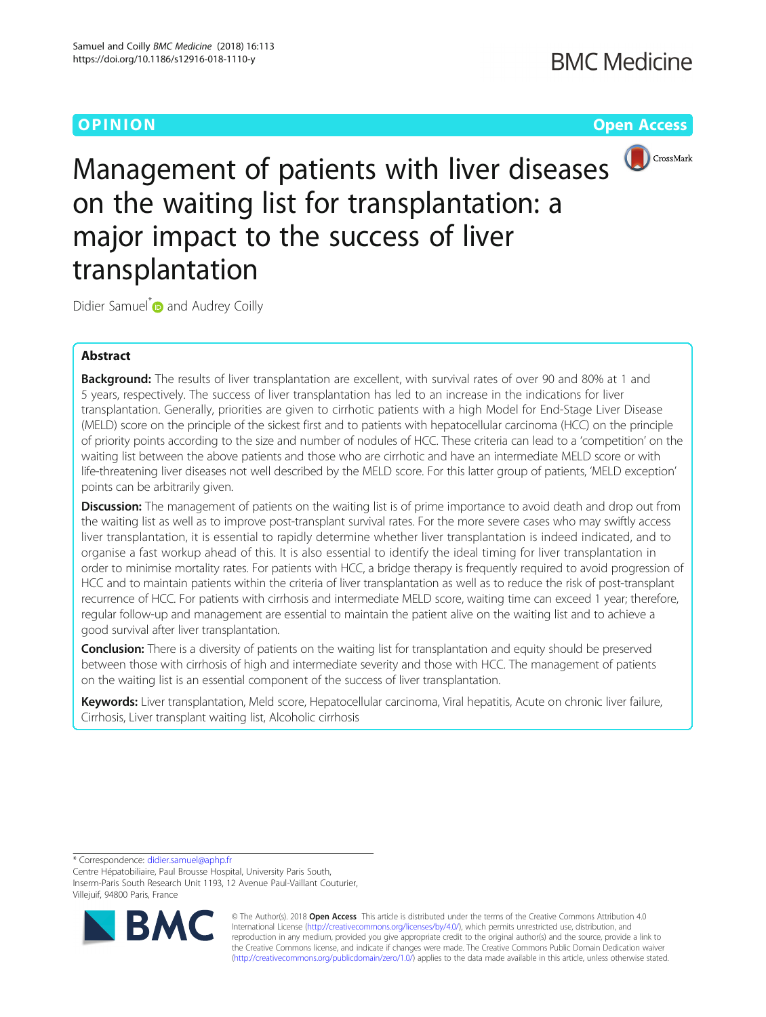# **OPINION OPINION OPINION**



Management of patients with liver diseases on the waiting list for transplantation: a major impact to the success of liver transplantation

Didier Samuel<sup>[\\*](http://orcid.org/0000-0001-9481-3616)</sup> and Audrey Coilly

# Abstract

**Background:** The results of liver transplantation are excellent, with survival rates of over 90 and 80% at 1 and 5 years, respectively. The success of liver transplantation has led to an increase in the indications for liver transplantation. Generally, priorities are given to cirrhotic patients with a high Model for End-Stage Liver Disease (MELD) score on the principle of the sickest first and to patients with hepatocellular carcinoma (HCC) on the principle of priority points according to the size and number of nodules of HCC. These criteria can lead to a 'competition' on the waiting list between the above patients and those who are cirrhotic and have an intermediate MELD score or with life-threatening liver diseases not well described by the MELD score. For this latter group of patients, 'MELD exception' points can be arbitrarily given.

**Discussion:** The management of patients on the waiting list is of prime importance to avoid death and drop out from the waiting list as well as to improve post-transplant survival rates. For the more severe cases who may swiftly access liver transplantation, it is essential to rapidly determine whether liver transplantation is indeed indicated, and to organise a fast workup ahead of this. It is also essential to identify the ideal timing for liver transplantation in order to minimise mortality rates. For patients with HCC, a bridge therapy is frequently required to avoid progression of HCC and to maintain patients within the criteria of liver transplantation as well as to reduce the risk of post-transplant recurrence of HCC. For patients with cirrhosis and intermediate MELD score, waiting time can exceed 1 year; therefore, regular follow-up and management are essential to maintain the patient alive on the waiting list and to achieve a good survival after liver transplantation.

**Conclusion:** There is a diversity of patients on the waiting list for transplantation and equity should be preserved between those with cirrhosis of high and intermediate severity and those with HCC. The management of patients on the waiting list is an essential component of the success of liver transplantation.

Keywords: Liver transplantation, Meld score, Hepatocellular carcinoma, Viral hepatitis, Acute on chronic liver failure, Cirrhosis, Liver transplant waiting list, Alcoholic cirrhosis

\* Correspondence: [didier.samuel@aphp.fr](mailto:didier.samuel@aphp.fr)

Centre Hépatobiliaire, Paul Brousse Hospital, University Paris South, Inserm-Paris South Research Unit 1193, 12 Avenue Paul-Vaillant Couturier, Villejuif, 94800 Paris, France



© The Author(s). 2018 Open Access This article is distributed under the terms of the Creative Commons Attribution 4.0 International License [\(http://creativecommons.org/licenses/by/4.0/](http://creativecommons.org/licenses/by/4.0/)), which permits unrestricted use, distribution, and reproduction in any medium, provided you give appropriate credit to the original author(s) and the source, provide a link to the Creative Commons license, and indicate if changes were made. The Creative Commons Public Domain Dedication waiver [\(http://creativecommons.org/publicdomain/zero/1.0/](http://creativecommons.org/publicdomain/zero/1.0/)) applies to the data made available in this article, unless otherwise stated.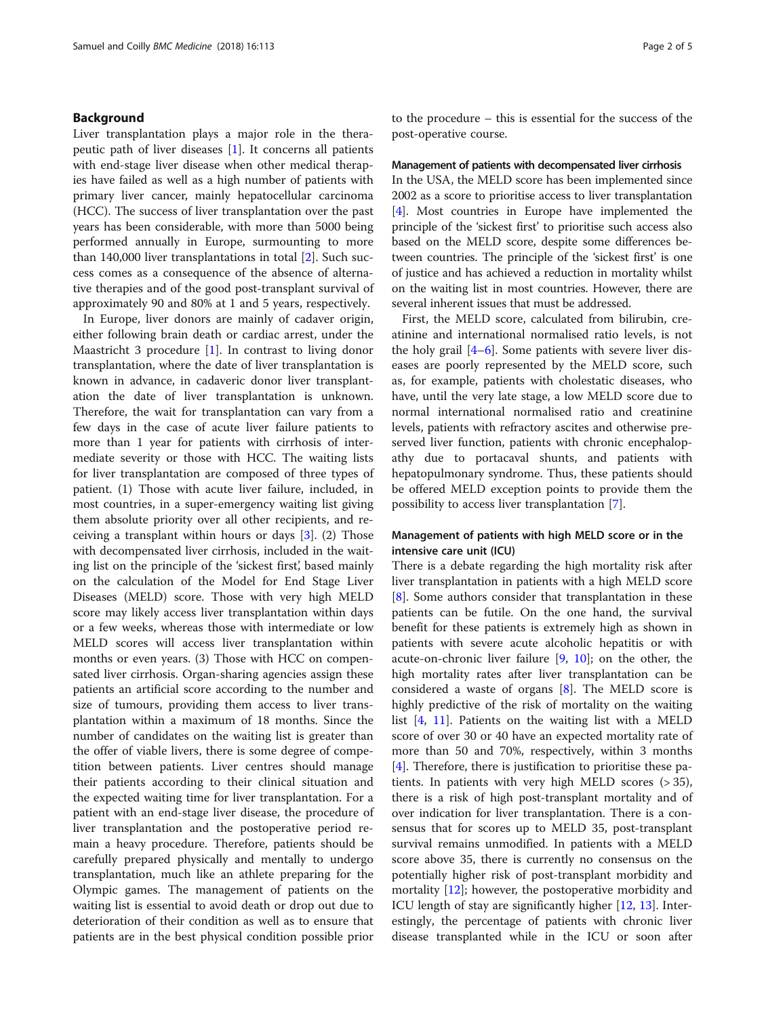# Background

Liver transplantation plays a major role in the therapeutic path of liver diseases [\[1](#page-3-0)]. It concerns all patients with end-stage liver disease when other medical therapies have failed as well as a high number of patients with primary liver cancer, mainly hepatocellular carcinoma (HCC). The success of liver transplantation over the past years has been considerable, with more than 5000 being performed annually in Europe, surmounting to more than 140,000 liver transplantations in total [\[2](#page-3-0)]. Such success comes as a consequence of the absence of alternative therapies and of the good post-transplant survival of approximately 90 and 80% at 1 and 5 years, respectively.

In Europe, liver donors are mainly of cadaver origin, either following brain death or cardiac arrest, under the Maastricht 3 procedure [[1\]](#page-3-0). In contrast to living donor transplantation, where the date of liver transplantation is known in advance, in cadaveric donor liver transplantation the date of liver transplantation is unknown. Therefore, the wait for transplantation can vary from a few days in the case of acute liver failure patients to more than 1 year for patients with cirrhosis of intermediate severity or those with HCC. The waiting lists for liver transplantation are composed of three types of patient. (1) Those with acute liver failure, included, in most countries, in a super-emergency waiting list giving them absolute priority over all other recipients, and receiving a transplant within hours or days [\[3](#page-3-0)]. (2) Those with decompensated liver cirrhosis, included in the waiting list on the principle of the 'sickest first', based mainly on the calculation of the Model for End Stage Liver Diseases (MELD) score. Those with very high MELD score may likely access liver transplantation within days or a few weeks, whereas those with intermediate or low MELD scores will access liver transplantation within months or even years. (3) Those with HCC on compensated liver cirrhosis. Organ-sharing agencies assign these patients an artificial score according to the number and size of tumours, providing them access to liver transplantation within a maximum of 18 months. Since the number of candidates on the waiting list is greater than the offer of viable livers, there is some degree of competition between patients. Liver centres should manage their patients according to their clinical situation and the expected waiting time for liver transplantation. For a patient with an end-stage liver disease, the procedure of liver transplantation and the postoperative period remain a heavy procedure. Therefore, patients should be carefully prepared physically and mentally to undergo transplantation, much like an athlete preparing for the Olympic games. The management of patients on the waiting list is essential to avoid death or drop out due to deterioration of their condition as well as to ensure that patients are in the best physical condition possible prior to the procedure – this is essential for the success of the post-operative course.

## Management of patients with decompensated liver cirrhosis

In the USA, the MELD score has been implemented since 2002 as a score to prioritise access to liver transplantation [[4\]](#page-3-0). Most countries in Europe have implemented the principle of the 'sickest first' to prioritise such access also based on the MELD score, despite some differences between countries. The principle of the 'sickest first' is one of justice and has achieved a reduction in mortality whilst on the waiting list in most countries. However, there are several inherent issues that must be addressed.

First, the MELD score, calculated from bilirubin, creatinine and international normalised ratio levels, is not the holy grail [\[4](#page-3-0)–[6\]](#page-3-0). Some patients with severe liver diseases are poorly represented by the MELD score, such as, for example, patients with cholestatic diseases, who have, until the very late stage, a low MELD score due to normal international normalised ratio and creatinine levels, patients with refractory ascites and otherwise preserved liver function, patients with chronic encephalopathy due to portacaval shunts, and patients with hepatopulmonary syndrome. Thus, these patients should be offered MELD exception points to provide them the possibility to access liver transplantation [\[7](#page-4-0)].

# Management of patients with high MELD score or in the intensive care unit (ICU)

There is a debate regarding the high mortality risk after liver transplantation in patients with a high MELD score [[8\]](#page-4-0). Some authors consider that transplantation in these patients can be futile. On the one hand, the survival benefit for these patients is extremely high as shown in patients with severe acute alcoholic hepatitis or with acute-on-chronic liver failure [[9,](#page-4-0) [10](#page-4-0)]; on the other, the high mortality rates after liver transplantation can be considered a waste of organs [\[8\]](#page-4-0). The MELD score is highly predictive of the risk of mortality on the waiting list [[4,](#page-3-0) [11\]](#page-4-0). Patients on the waiting list with a MELD score of over 30 or 40 have an expected mortality rate of more than 50 and 70%, respectively, within 3 months [[4\]](#page-3-0). Therefore, there is justification to prioritise these patients. In patients with very high MELD scores (> 35), there is a risk of high post-transplant mortality and of over indication for liver transplantation. There is a consensus that for scores up to MELD 35, post-transplant survival remains unmodified. In patients with a MELD score above 35, there is currently no consensus on the potentially higher risk of post-transplant morbidity and mortality [\[12](#page-4-0)]; however, the postoperative morbidity and ICU length of stay are significantly higher [\[12](#page-4-0), [13](#page-4-0)]. Interestingly, the percentage of patients with chronic liver disease transplanted while in the ICU or soon after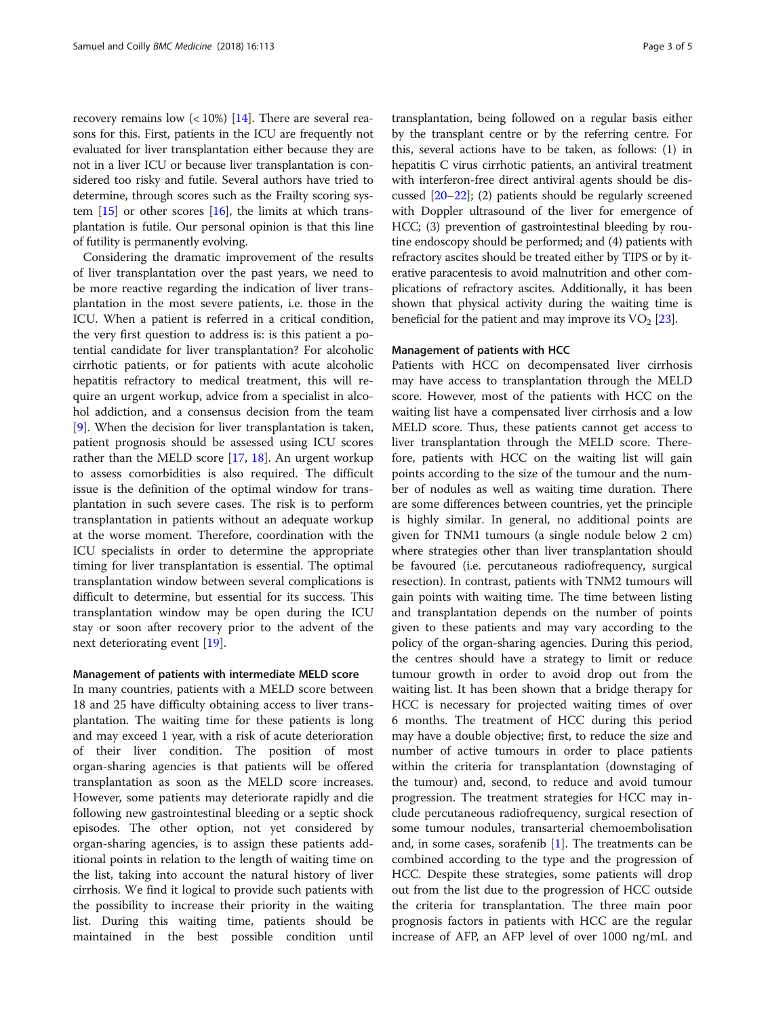recovery remains low  $(< 10\%)$  [\[14\]](#page-4-0). There are several reasons for this. First, patients in the ICU are frequently not evaluated for liver transplantation either because they are not in a liver ICU or because liver transplantation is considered too risky and futile. Several authors have tried to determine, through scores such as the Frailty scoring system  $[15]$  or other scores  $[16]$  $[16]$  $[16]$ , the limits at which transplantation is futile. Our personal opinion is that this line of futility is permanently evolving.

Considering the dramatic improvement of the results of liver transplantation over the past years, we need to be more reactive regarding the indication of liver transplantation in the most severe patients, i.e. those in the ICU. When a patient is referred in a critical condition, the very first question to address is: is this patient a potential candidate for liver transplantation? For alcoholic cirrhotic patients, or for patients with acute alcoholic hepatitis refractory to medical treatment, this will require an urgent workup, advice from a specialist in alcohol addiction, and a consensus decision from the team [[9\]](#page-4-0). When the decision for liver transplantation is taken, patient prognosis should be assessed using ICU scores rather than the MELD score [\[17](#page-4-0), [18](#page-4-0)]. An urgent workup to assess comorbidities is also required. The difficult issue is the definition of the optimal window for transplantation in such severe cases. The risk is to perform transplantation in patients without an adequate workup at the worse moment. Therefore, coordination with the ICU specialists in order to determine the appropriate timing for liver transplantation is essential. The optimal transplantation window between several complications is difficult to determine, but essential for its success. This transplantation window may be open during the ICU stay or soon after recovery prior to the advent of the next deteriorating event [[19\]](#page-4-0).

# Management of patients with intermediate MELD score

In many countries, patients with a MELD score between 18 and 25 have difficulty obtaining access to liver transplantation. The waiting time for these patients is long and may exceed 1 year, with a risk of acute deterioration of their liver condition. The position of most organ-sharing agencies is that patients will be offered transplantation as soon as the MELD score increases. However, some patients may deteriorate rapidly and die following new gastrointestinal bleeding or a septic shock episodes. The other option, not yet considered by organ-sharing agencies, is to assign these patients additional points in relation to the length of waiting time on the list, taking into account the natural history of liver cirrhosis. We find it logical to provide such patients with the possibility to increase their priority in the waiting list. During this waiting time, patients should be maintained in the best possible condition until

transplantation, being followed on a regular basis either by the transplant centre or by the referring centre. For this, several actions have to be taken, as follows: (1) in hepatitis C virus cirrhotic patients, an antiviral treatment with interferon-free direct antiviral agents should be discussed [[20](#page-4-0)–[22\]](#page-4-0); (2) patients should be regularly screened with Doppler ultrasound of the liver for emergence of HCC; (3) prevention of gastrointestinal bleeding by routine endoscopy should be performed; and (4) patients with refractory ascites should be treated either by TIPS or by iterative paracentesis to avoid malnutrition and other complications of refractory ascites. Additionally, it has been shown that physical activity during the waiting time is beneficial for the patient and may improve its  $VO<sub>2</sub>$  [\[23\]](#page-4-0).

# Management of patients with HCC

Patients with HCC on decompensated liver cirrhosis may have access to transplantation through the MELD score. However, most of the patients with HCC on the waiting list have a compensated liver cirrhosis and a low MELD score. Thus, these patients cannot get access to liver transplantation through the MELD score. Therefore, patients with HCC on the waiting list will gain points according to the size of the tumour and the number of nodules as well as waiting time duration. There are some differences between countries, yet the principle is highly similar. In general, no additional points are given for TNM1 tumours (a single nodule below 2 cm) where strategies other than liver transplantation should be favoured (i.e. percutaneous radiofrequency, surgical resection). In contrast, patients with TNM2 tumours will gain points with waiting time. The time between listing and transplantation depends on the number of points given to these patients and may vary according to the policy of the organ-sharing agencies. During this period, the centres should have a strategy to limit or reduce tumour growth in order to avoid drop out from the waiting list. It has been shown that a bridge therapy for HCC is necessary for projected waiting times of over 6 months. The treatment of HCC during this period may have a double objective; first, to reduce the size and number of active tumours in order to place patients within the criteria for transplantation (downstaging of the tumour) and, second, to reduce and avoid tumour progression. The treatment strategies for HCC may include percutaneous radiofrequency, surgical resection of some tumour nodules, transarterial chemoembolisation and, in some cases, sorafenib  $[1]$  $[1]$  $[1]$ . The treatments can be combined according to the type and the progression of HCC. Despite these strategies, some patients will drop out from the list due to the progression of HCC outside the criteria for transplantation. The three main poor prognosis factors in patients with HCC are the regular increase of AFP, an AFP level of over 1000 ng/mL and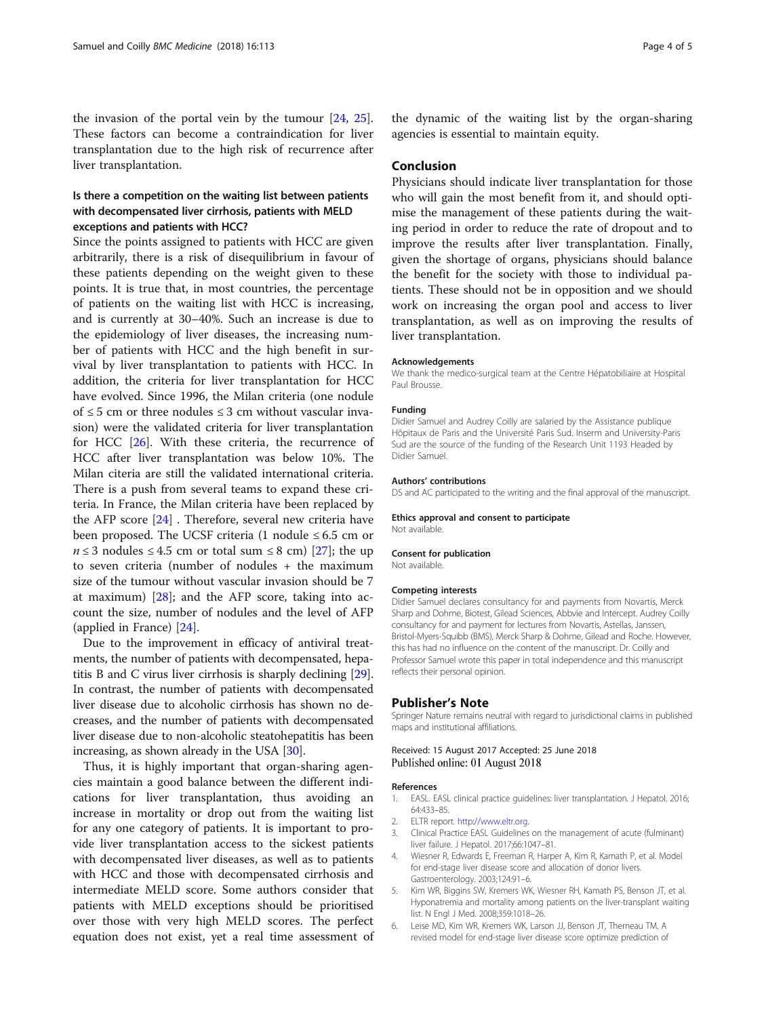<span id="page-3-0"></span>the invasion of the portal vein by the tumour [\[24](#page-4-0), [25](#page-4-0)]. These factors can become a contraindication for liver transplantation due to the high risk of recurrence after liver transplantation.

# Is there a competition on the waiting list between patients with decompensated liver cirrhosis, patients with MELD exceptions and patients with HCC?

Since the points assigned to patients with HCC are given arbitrarily, there is a risk of disequilibrium in favour of these patients depending on the weight given to these points. It is true that, in most countries, the percentage of patients on the waiting list with HCC is increasing, and is currently at 30–40%. Such an increase is due to the epidemiology of liver diseases, the increasing number of patients with HCC and the high benefit in survival by liver transplantation to patients with HCC. In addition, the criteria for liver transplantation for HCC have evolved. Since 1996, the Milan criteria (one nodule of  $\leq$  5 cm or three nodules  $\leq$  3 cm without vascular invasion) were the validated criteria for liver transplantation for HCC [[26](#page-4-0)]. With these criteria, the recurrence of HCC after liver transplantation was below 10%. The Milan citeria are still the validated international criteria. There is a push from several teams to expand these criteria. In France, the Milan criteria have been replaced by the AFP score [\[24](#page-4-0)] . Therefore, several new criteria have been proposed. The UCSF criteria (1 nodule  $\leq 6.5$  cm or  $n \leq 3$  nodules  $\leq 4.5$  cm or total sum  $\leq 8$  cm) [\[27](#page-4-0)]; the up to seven criteria (number of nodules + the maximum size of the tumour without vascular invasion should be 7 at maximum) [\[28](#page-4-0)]; and the AFP score, taking into account the size, number of nodules and the level of AFP (applied in France) [[24\]](#page-4-0).

Due to the improvement in efficacy of antiviral treatments, the number of patients with decompensated, hepatitis B and C virus liver cirrhosis is sharply declining [[29](#page-4-0)]. In contrast, the number of patients with decompensated liver disease due to alcoholic cirrhosis has shown no decreases, and the number of patients with decompensated liver disease due to non-alcoholic steatohepatitis has been increasing, as shown already in the USA [[30](#page-4-0)].

Thus, it is highly important that organ-sharing agencies maintain a good balance between the different indications for liver transplantation, thus avoiding an increase in mortality or drop out from the waiting list for any one category of patients. It is important to provide liver transplantation access to the sickest patients with decompensated liver diseases, as well as to patients with HCC and those with decompensated cirrhosis and intermediate MELD score. Some authors consider that patients with MELD exceptions should be prioritised over those with very high MELD scores. The perfect equation does not exist, yet a real time assessment of the dynamic of the waiting list by the organ-sharing agencies is essential to maintain equity.

# Conclusion

Physicians should indicate liver transplantation for those who will gain the most benefit from it, and should optimise the management of these patients during the waiting period in order to reduce the rate of dropout and to improve the results after liver transplantation. Finally, given the shortage of organs, physicians should balance the benefit for the society with those to individual patients. These should not be in opposition and we should work on increasing the organ pool and access to liver transplantation, as well as on improving the results of liver transplantation.

#### Acknowledgements

We thank the medico-surgical team at the Centre Hépatobiliaire at Hospital Paul Brousse.

### Funding

Didier Samuel and Audrey Coilly are salaried by the Assistance publique Hôpitaux de Paris and the Université Paris Sud. Inserm and University-Paris Sud are the source of the funding of the Research Unit 1193 Headed by Didier Samuel.

#### Authors' contributions

DS and AC participated to the writing and the final approval of the manuscript.

# Ethics approval and consent to participate

Not available.

#### Consent for publication Not available.

## Competing interests

Didier Samuel declares consultancy for and payments from Novartis, Merck Sharp and Dohme, Biotest, Gilead Sciences, Abbvie and Intercept. Audrey Coilly consultancy for and payment for lectures from Novartis, Astellas, Janssen, Bristol-Myers-Squibb (BMS), Merck Sharp & Dohme, Gilead and Roche. However, this has had no influence on the content of the manuscript. Dr. Coilly and Professor Samuel wrote this paper in total independence and this manuscript reflects their personal opinion.

### Publisher's Note

Springer Nature remains neutral with regard to jurisdictional claims in published maps and institutional affiliations.

## Received: 15 August 2017 Accepted: 25 June 2018 Published online: 01 August 2018

## References

- 1. EASL. EASL clinical practice guidelines: liver transplantation. J Hepatol. 2016; 64:433–85.
- 2. ELTR report. <http://www.eltr.org>.
- Clinical Practice EASL Guidelines on the management of acute (fulminant) liver failure. J Hepatol. 2017;66:1047–81.
- 4. Wiesner R, Edwards E, Freeman R, Harper A, Kim R, Kamath P, et al. Model for end-stage liver disease score and allocation of donor livers. Gastroenterology. 2003;124:91–6.
- 5. Kim WR, Biggins SW, Kremers WK, Wiesner RH, Kamath PS, Benson JT, et al. Hyponatremia and mortality among patients on the liver-transplant waiting list. N Engl J Med. 2008;359:1018–26.
- 6. Leise MD, Kim WR, Kremers WK, Larson JJ, Benson JT, Therneau TM. A revised model for end-stage liver disease score optimize prediction of